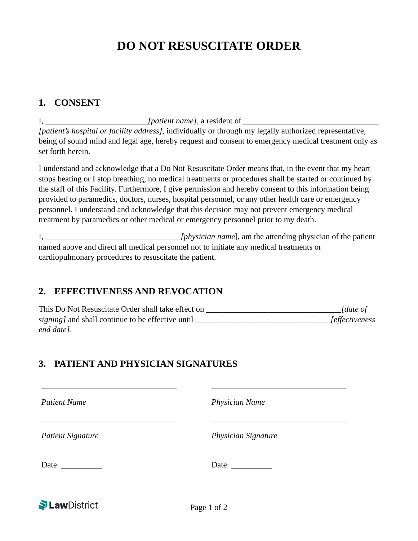# **DO NOT RESUSCITATE ORDER**

#### **1. CONSENT**

I, *I patient name l*, a resident of *[patient's hospital or facility address]*, individually or through my legally authorized representative, being of sound mind and legal age, hereby request and consent to emergency medical treatment only as set forth herein.

I understand and acknowledge that a Do Not Resuscitate Order means that, in the event that my heart stops beating or I stop breathing, no medical treatments or procedures shall be started or continued by the staff of this Facility. Furthermore, I give permission and hereby consent to this information being provided to paramedics, doctors, nurses, hospital personnel, or any other health care or emergency personnel. I understand and acknowledge that this decision may not prevent emergency medical treatment by paramedics or other medical or emergency personnel prior to my death.

I, \_\_\_\_\_\_\_\_\_\_\_\_\_\_\_\_\_\_\_\_\_\_\_\_\_\_\_\_\_\_\_\_\_*[physician name*], am the attending physician of the patient named above and direct all medical personnel not to initiate any medical treatments or cardiopulmonary procedures to resuscitate the patient.

### **2. EFFECTIVENESS AND REVOCATION**

This Do Not Resuscitate Order shall take effect on *[date of ] signing* and shall continue to be effective until  $\blacksquare$ *end date]*.

## **3. PATIENT AND PHYSICIAN SIGNATURES**

\_\_\_\_\_\_\_\_\_\_\_\_\_\_\_\_\_\_\_\_\_\_\_\_\_\_\_\_\_\_\_\_\_ \_\_\_\_\_\_\_\_\_\_\_\_\_\_\_\_\_\_\_\_\_\_\_\_\_\_\_\_\_\_\_\_\_ *Patient Name Physician Name* \_\_\_\_\_\_\_\_\_\_\_\_\_\_\_\_\_\_\_\_\_\_\_\_\_\_\_\_\_\_\_\_\_ \_\_\_\_\_\_\_\_\_\_\_\_\_\_\_\_\_\_\_\_\_\_\_\_\_\_\_\_\_\_\_\_\_ *Patient Signature Physician Signature* Date: \_\_\_\_\_\_\_\_\_\_ Date: \_\_\_\_\_\_\_\_\_\_ **N Law** District